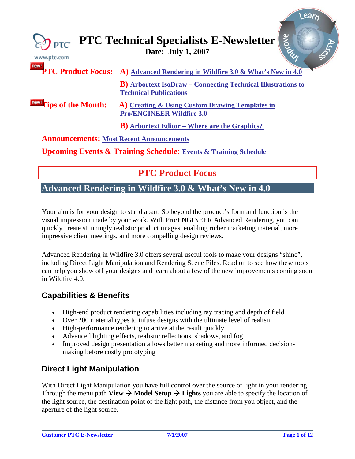<span id="page-0-0"></span>

| $\gtrsim$ PTC<br>www.ptc.com                    | Arove<br><b>PTC Technical Specialists E-Newsletter</b>                                                |
|-------------------------------------------------|-------------------------------------------------------------------------------------------------------|
| new!                                            | <b>PTC Product Focus:</b> A) Advanced Rendering in Wildfire 3.0 & What's New in 4.0                   |
|                                                 | <b>B</b> ) Arbortext IsoDraw – Connecting Technical Illustrations to<br><b>Technical Publications</b> |
| <b>IDEW!</b> Tips of the Month:                 | A) Creating & Using Custom Drawing Templates in<br><b>Pro/ENGINEER Wildfire 3.0</b>                   |
|                                                 | <b>B</b> ) Arbortext Editor – Where are the Graphics?                                                 |
| <b>Announcements: Most Recent Announcements</b> |                                                                                                       |
|                                                 | <b>Upcoming Events &amp; Training Schedule: Events &amp; Training Schedule</b>                        |

**PTC Product Focus** 

## **Advanced Rendering in Wildfire 3.0 & What's New in 4.0**

Your aim is for your design to stand apart. So beyond the product's form and function is the visual impression made by your work. With Pro/ENGINEER Advanced Rendering, you can quickly create stunningly realistic product images, enabling richer marketing material, more impressive client meetings, and more compelling design reviews.

Advanced Rendering in Wildfire 3.0 offers several useful tools to make your designs "shine", including Direct Light Manipulation and Rendering Scene Files. Read on to see how these tools can help you show off your designs and learn about a few of the new improvements coming soon in Wildfire 4.0.

## **Capabilities & Benefits**

- High-end product rendering capabilities including ray tracing and depth of field
- Over 200 material types to infuse designs with the ultimate level of realism
- High-performance rendering to arrive at the result quickly
- Advanced lighting effects, realistic reflections, shadows, and fog
- Improved design presentation allows better marketing and more informed decisionmaking before costly prototyping

## **Direct Light Manipulation**

With Direct Light Manipulation you have full control over the source of light in your rendering. Through the menu path **View**  $\rightarrow$  **Model Setup**  $\rightarrow$  **Lights** you are able to specify the location of the light source, the destination point of the light path, the distance from you object, and the aperture of the light source.

l ear<sub>r</sub>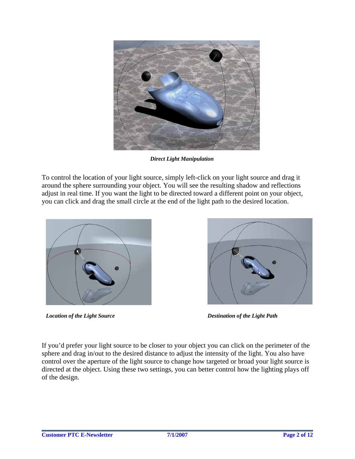

*Direct Light Manipulation*

To control the location of your light source, simply left-click on your light source and drag it around the sphere surrounding your object. You will see the resulting shadow and reflections adjust in real time. If you want the light to be directed toward a different point on your object, you can click and drag the small circle at the end of the light path to the desired location.



*Location of the Light Source* Destination of the Light Path



If you'd prefer your light source to be closer to your object you can click on the perimeter of the sphere and drag in/out to the desired distance to adjust the intensity of the light. You also have control over the aperture of the light source to change how targeted or broad your light source is directed at the object. Using these two settings, you can better control how the lighting plays off of the design.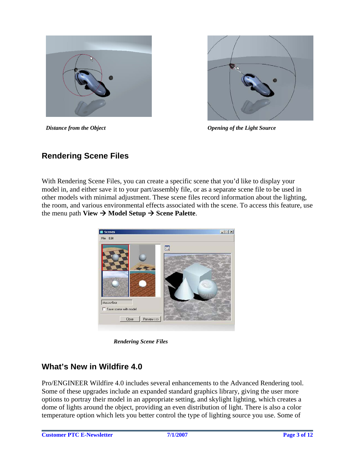



*Distance from the Object Opening of the Light Source* 

## **Rendering Scene Files**

With Rendering Scene Files, you can create a specific scene that you'd like to display your model in, and either save it to your part/assembly file, or as a separate scene file to be used in other models with minimal adjustment. These scene files record information about the lighting, the room, and various environmental effects associated with the scene. To access this feature, use the menu path  $View \rightarrow Model Setup \rightarrow See$  Palette.



*Rendering Scene Files* 

## **What's New in Wildfire 4.0**

Pro/ENGINEER Wildfire 4.0 includes several enhancements to the Advanced Rendering tool. Some of these upgrades include an expanded standard graphics library, giving the user more options to portray their model in an appropriate setting, and skylight lighting, which creates a dome of lights around the object, providing an even distribution of light. There is also a color temperature option which lets you better control the type of lighting source you use. Some of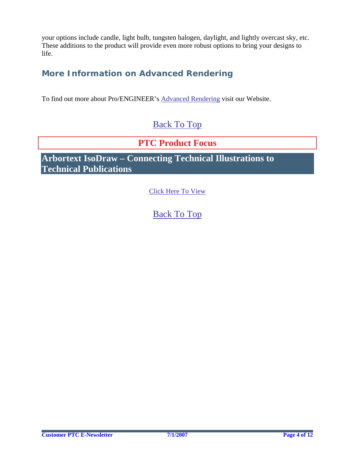<span id="page-3-0"></span>your options include candle, light bulb, tungsten halogen, daylight, and lightly overcast sky, etc. These additions to the product will provide even more robust options to bring your designs to life.

## **More Information on Advanced Rendering**

To find out more about Pro/ENGINEER's [Advanced Rendering](http://www.ptc.com/appserver/mkt/products/home.jsp?&k=869) visit our Website.

## [Back To Top](#page-0-0)

## **PTC Product Focus**

**Arbortext IsoDraw – Connecting Technical Illustrations to Technical Publications** 

[Click Here To View](http://members.shaw.ca/jpeng/newsletter/PTC_Technical_Specialists_E-Newsletter_07-01-2007_enterprise.pdf)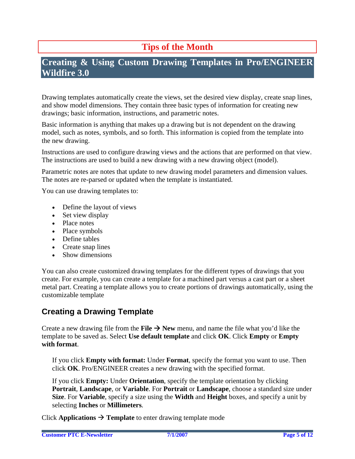# **Tips of the Month**

## <span id="page-4-0"></span>**Creating & Using Custom Drawing Templates in Pro/ENGINEER Wildfire 3.0**

Drawing templates automatically create the views, set the desired view display, create snap lines, and show model dimensions. They contain three basic types of information for creating new drawings; basic information, instructions, and parametric notes.

Basic information is anything that makes up a drawing but is not dependent on the drawing model, such as notes, symbols, and so forth. This information is copied from the template into the new drawing.

Instructions are used to configure drawing views and the actions that are performed on that view. The instructions are used to build a new drawing with a new drawing object (model).

Parametric notes are notes that update to new drawing model parameters and dimension values. The notes are re-parsed or updated when the template is instantiated.

You can use drawing templates to:

- Define the layout of views
- Set view display
- Place notes
- Place symbols
- Define tables
- Create snap lines
- Show dimensions

You can also create customized drawing templates for the different types of drawings that you create. For example, you can create a template for a machined part versus a cast part or a sheet metal part. Creating a template allows you to create portions of drawings automatically, using the customizable template

### **Creating a Drawing Template**

Create a new drawing file from the **File**  $\rightarrow$  **New** menu, and name the file what you'd like the template to be saved as. Select **Use default template** and click **OK**. Click **Empty** or **Empty with format**.

If you click **Empty with format:** Under **Format**, specify the format you want to use. Then click **OK**. Pro/ENGINEER creates a new drawing with the specified format.

If you click **Empty:** Under **Orientation**, specify the template orientation by clicking **Portrait**, **Landscape**, or **Variable**. For **Portrait** or **Landscape**, choose a standard size under **Size**. For **Variable**, specify a size using the **Width** and **Height** boxes, and specify a unit by selecting **Inches** or **Millimeters**.

Click **Applications**  $\rightarrow$  **Template** to enter drawing template mode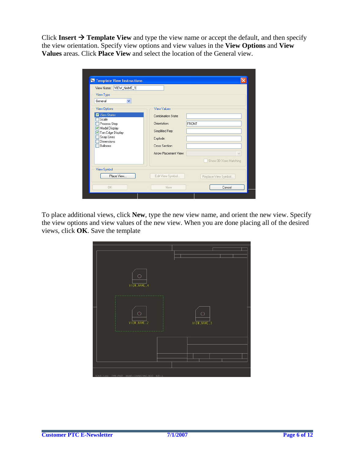Click Insert  $\rightarrow$  Template View and type the view name or accept the default, and then specify the view orientation. Specify view options and view values in the **View Options** and **View Values** areas. Click **Place View** and select the location of the General view.

| VIEW_NAME_1<br>View Name:              |                       |                       |
|----------------------------------------|-----------------------|-----------------------|
| View Type                              |                       |                       |
| General<br>v                           |                       |                       |
| <b>View Options</b>                    | <b>View Values</b>    |                       |
| View States                            | Combination State:    |                       |
| Scale<br>Process Step                  | Orientation:          | FRONT                 |
| Model Display<br>Tan Edge Display<br>M | Simplified Rep:       |                       |
| Snap Lines                             | Explode:              |                       |
| Dimensions<br>Balloons                 | <b>Cross Section:</b> |                       |
|                                        | Arrow Placement View: | v                     |
|                                        |                       | Show 3D Xsec Hatching |
| View Symbol                            |                       |                       |
| Place View                             | Edit View Symbol      | Replace View Symbol   |
| OK.                                    | New                   | Cancel                |

To place additional views, click **New**, type the new view name, and orient the new view. Specify the view options and view values of the new view. When you are done placing all of the desired views, click **OK**. Save the template

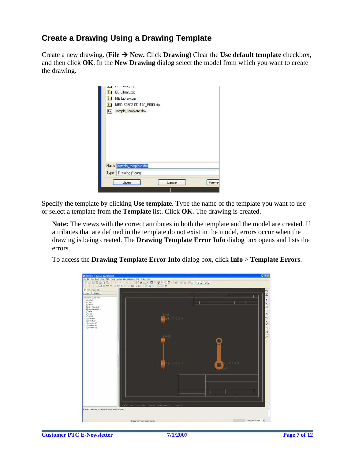## **Create a Drawing Using a Drawing Template**

Create a new drawing. (**File**  $\rightarrow$  **New.** Click **Drawing**) Clear the **Use default template** checkbox, and then click **OK**. In the **New Drawing** dialog select the model from which you want to create the drawing.

| T    | EE Library.zip            |  |        |  |         |
|------|---------------------------|--|--------|--|---------|
| n    | ME Library.zip            |  |        |  |         |
| n    | MED-60602-CD-140_F000.zip |  |        |  |         |
| 鳳    | sample_template.drw       |  |        |  |         |
|      |                           |  |        |  |         |
|      |                           |  |        |  |         |
|      |                           |  |        |  |         |
|      |                           |  |        |  |         |
|      |                           |  |        |  |         |
|      |                           |  |        |  |         |
|      |                           |  |        |  |         |
|      |                           |  |        |  |         |
|      |                           |  |        |  |         |
|      |                           |  |        |  |         |
| Name | sample_template.drw       |  |        |  |         |
| Type | Drawing (".drw)           |  |        |  |         |
|      | Open                      |  | Cancel |  | Preview |

Specify the template by clicking **Use template**. Type the name of the template you want to use or select a template from the **Template** list. Click **OK**. The drawing is created.

**Note:** The views with the correct attributes in both the template and the model are created. If attributes that are defined in the template do not exist in the model, errors occur when the drawing is being created. The **Drawing Template Error Info** dialog box opens and lists the errors.

To access the **Drawing Template Error Info** dialog box, click **Info** > **Template Errors**.

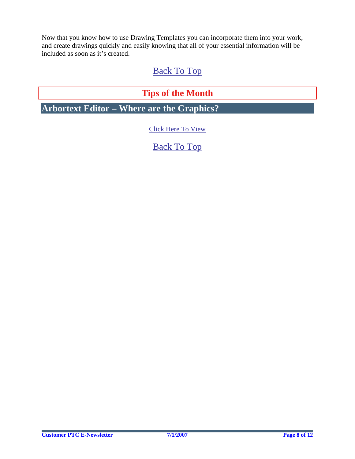<span id="page-7-0"></span>Now that you know how to use Drawing Templates you can incorporate them into your work, and create drawings quickly and easily knowing that all of your essential information will be included as soon as it's created.

## [Back To Top](#page-0-0)

# **Tips of the Month**

**Arbortext Editor – Where are the Graphics?** 

[Click Here To View](http://members.shaw.ca/jpeng/newsletter/PTC_Technical_Specialists_E-Newsletter_07-01-2007_enterprise.pdf)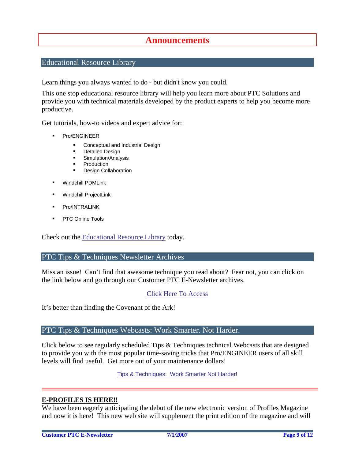### **Announcements**

### <span id="page-8-0"></span>Educational Resource Library

Learn things you always wanted to do - but didn't know you could.

This one stop educational resource library will help you learn more about PTC Solutions and provide you with technical materials developed by the product experts to help you become more productive.

Get tutorials, how-to videos and expert advice for:

- **Pro/ENGINEER** 
	- **EXECONCEPT** Conceptual and Industrial Design
	- **•** Detailed Design
	- **Simulation/Analysis**
	- Production
	- Design Collaboration
- Windchill PDMLink
- Windchill ProjectLink
- Pro/INTRALINK
- PTC Online Tools

Check out the [Educational Resource Library](http://www.ptc.com/community/proewf/newtools/tutorials.htm) today.

### PTC Tips & Techniques Newsletter Archives

Miss an issue! Can't find that awesome technique you read about? Fear not, you can click on the link below and go through our Customer PTC E-Newsletter archives.

### [Click Here To Access](http://www.ptc.com/carezone/archive/index.htm)

It's better than finding the Covenant of the Ark!

### PTC Tips & Techniques Webcasts: Work Smarter. Not Harder.

Click below to see regularly scheduled Tips & Techniques technical Webcasts that are designed to provide you with the most popular time-saving tricks that Pro/ENGINEER users of all skill levels will find useful. Get more out of your maintenance dollars!

Tips & Techniques: Work Smarter Not Harder!

### **E-PROFILES IS HERE!!**

We have been eagerly anticipating the debut of the new electronic version of Profiles Magazine and now it is here! This new web site will supplement the print edition of the magazine and will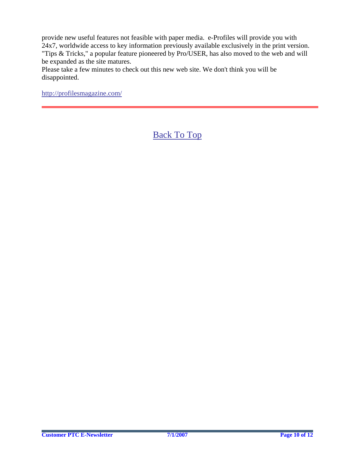provide new useful features not feasible with paper media. e-Profiles will provide you with 24x7, worldwide access to key information previously available exclusively in the print version. "Tips & Tricks," a popular feature pioneered by Pro/USER, has also moved to the web and will be expanded as the site matures.

Please take a few minutes to check out this new web site. We don't think you will be disappointed.

<http://profilesmagazine.com/>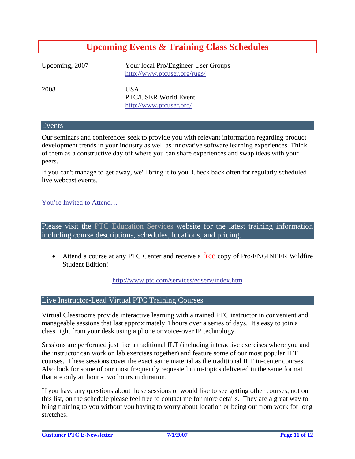## **Upcoming Events & Training Class Schedules**

<span id="page-10-0"></span>Upcoming, 2007 Your local Pro/Engineer User Groups http://www.ptcuser.org/rugs/

2008 USA PTC/USER World Event <http://www.ptcuser.org/>

#### Events

Our seminars and conferences seek to provide you with relevant information regarding product development trends in your industry as well as innovative software learning experiences. Think of them as a constructive day off where you can share experiences and swap ideas with your peers.

If you can't manage to get away, we'll bring it to you. Check back often for regularly scheduled live webcast events.

### [You're Invited to Attend…](http://www.ptc.com/company/news/events/index.htm)

Please visit the [PTC Education Services](http://www.ptc.com/services/edserv/) website for the latest training information including course descriptions, schedules, locations, and pricing.

• Attend a course at any PTC Center and receive a free copy of Pro/ENGINEER Wildfire Student Edition!

<http://www.ptc.com/services/edserv/index.htm>

### Live Instructor-Lead Virtual PTC Training Courses

Virtual Classrooms provide interactive learning with a trained PTC instructor in convenient and manageable sessions that last approximately 4 hours over a series of days. It's easy to join a class right from your desk using a phone or voice-over IP technology.

Sessions are performed just like a traditional ILT (including interactive exercises where you and the instructor can work on lab exercises together) and feature some of our most popular ILT courses. These sessions cover the exact same material as the traditional ILT in-center courses. Also look for some of our most frequently requested mini-topics delivered in the same format that are only an hour - two hours in duration.

If you have any questions about these sessions or would like to see getting other courses, not on this list, on the schedule please feel free to contact me for more details. They are a great way to bring training to you without you having to worry about location or being out from work for long stretches.